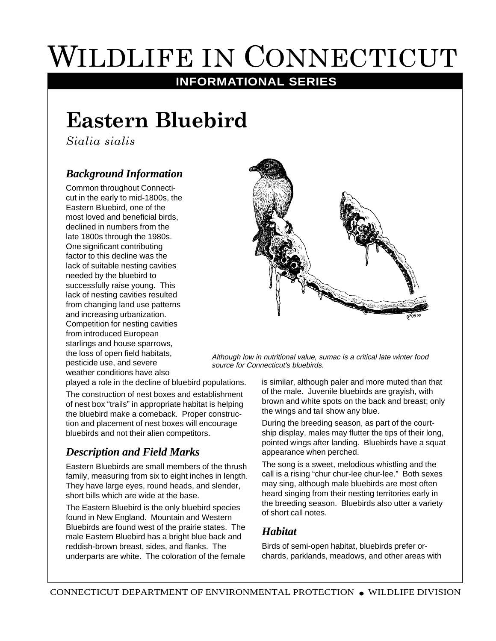# WILDLIFE IN CONNECTICUT

## **INFORMATIONAL SERIES**

# **Eastern Bluebird**

*Sialia sialis*

#### *Background Information*

Common throughout Connecticut in the early to mid-1800s, the Eastern Bluebird, one of the most loved and beneficial birds, declined in numbers from the late 1800s through the 1980s. One significant contributing factor to this decline was the lack of suitable nesting cavities needed by the bluebird to successfully raise young. This lack of nesting cavities resulted from changing land use patterns and increasing urbanization. Competition for nesting cavities from introduced European starlings and house sparrows, the loss of open field habitats, pesticide use, and severe weather conditions have also



Although low in nutritional value, sumac is a critical late winter food source for Connecticut's bluebirds.

played a role in the decline of bluebird populations.

The construction of nest boxes and establishment of nest box "trails" in appropriate habitat is helping the bluebird make a comeback. Proper construction and placement of nest boxes will encourage bluebirds and not their alien competitors.

#### *Description and Field Marks*

Eastern Bluebirds are small members of the thrush family, measuring from six to eight inches in length. They have large eyes, round heads, and slender, short bills which are wide at the base.

The Eastern Bluebird is the only bluebird species found in New England. Mountain and Western Bluebirds are found west of the prairie states. The male Eastern Bluebird has a bright blue back and reddish-brown breast, sides, and flanks. The underparts are white. The coloration of the female

is similar, although paler and more muted than that of the male. Juvenile bluebirds are grayish, with brown and white spots on the back and breast; only the wings and tail show any blue.

During the breeding season, as part of the courtship display, males may flutter the tips of their long, pointed wings after landing. Bluebirds have a squat appearance when perched.

The song is a sweet, melodious whistling and the call is a rising "chur chur-lee chur-lee." Both sexes may sing, although male bluebirds are most often heard singing from their nesting territories early in the breeding season. Bluebirds also utter a variety of short call notes.

#### *Habitat*

Birds of semi-open habitat, bluebirds prefer orchards, parklands, meadows, and other areas with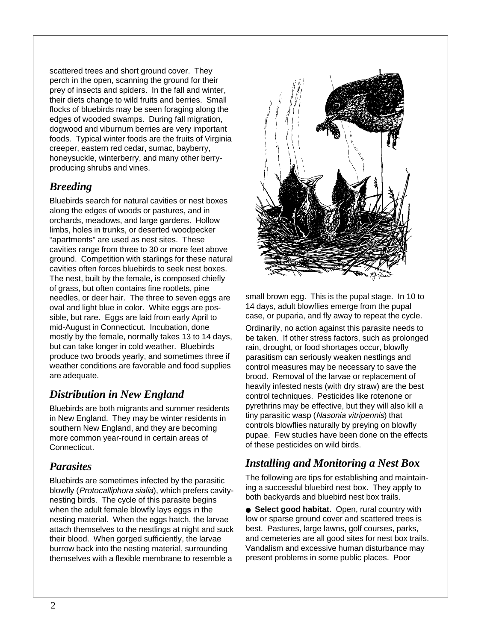scattered trees and short ground cover. They perch in the open, scanning the ground for their prey of insects and spiders. In the fall and winter, their diets change to wild fruits and berries. Small flocks of bluebirds may be seen foraging along the edges of wooded swamps. During fall migration, dogwood and viburnum berries are very important foods. Typical winter foods are the fruits of Virginia creeper, eastern red cedar, sumac, bayberry, honeysuckle, winterberry, and many other berryproducing shrubs and vines.

#### *Breeding*

Bluebirds search for natural cavities or nest boxes along the edges of woods or pastures, and in orchards, meadows, and large gardens. Hollow limbs, holes in trunks, or deserted woodpecker "apartments" are used as nest sites. These cavities range from three to 30 or more feet above ground. Competition with starlings for these natural cavities often forces bluebirds to seek nest boxes. The nest, built by the female, is composed chiefly of grass, but often contains fine rootlets, pine needles, or deer hair. The three to seven eggs are oval and light blue in color. White eggs are possible, but rare. Eggs are laid from early April to mid-August in Connecticut. Incubation, done mostly by the female, normally takes 13 to 14 days, but can take longer in cold weather. Bluebirds produce two broods yearly, and sometimes three if weather conditions are favorable and food supplies are adequate.

#### *Distribution in New England*

Bluebirds are both migrants and summer residents in New England. They may be winter residents in southern New England, and they are becoming more common year-round in certain areas of Connecticut.

#### *Parasites*

Bluebirds are sometimes infected by the parasitic blowfly (Protocalliphora sialia), which prefers cavitynesting birds. The cycle of this parasite begins when the adult female blowfly lays eggs in the nesting material. When the eggs hatch, the larvae attach themselves to the nestlings at night and suck their blood. When gorged sufficiently, the larvae burrow back into the nesting material, surrounding themselves with a flexible membrane to resemble a



small brown egg. This is the pupal stage. In 10 to 14 days, adult blowflies emerge from the pupal case, or puparia, and fly away to repeat the cycle.

Ordinarily, no action against this parasite needs to be taken. If other stress factors, such as prolonged rain, drought, or food shortages occur, blowfly parasitism can seriously weaken nestlings and control measures may be necessary to save the brood. Removal of the larvae or replacement of heavily infested nests (with dry straw) are the best control techniques. Pesticides like rotenone or pyrethrins may be effective, but they will also kill a tiny parasitic wasp (Nasonia vitripennis) that controls blowflies naturally by preying on blowfly pupae. Few studies have been done on the effects of these pesticides on wild birds.

#### *Installing and Monitoring a Nest Box*

The following are tips for establishing and maintaining a successful bluebird nest box. They apply to both backyards and bluebird nest box trails.

● **Select good habitat.** Open, rural country with low or sparse ground cover and scattered trees is best. Pastures, large lawns, golf courses, parks, and cemeteries are all good sites for nest box trails. Vandalism and excessive human disturbance may present problems in some public places. Poor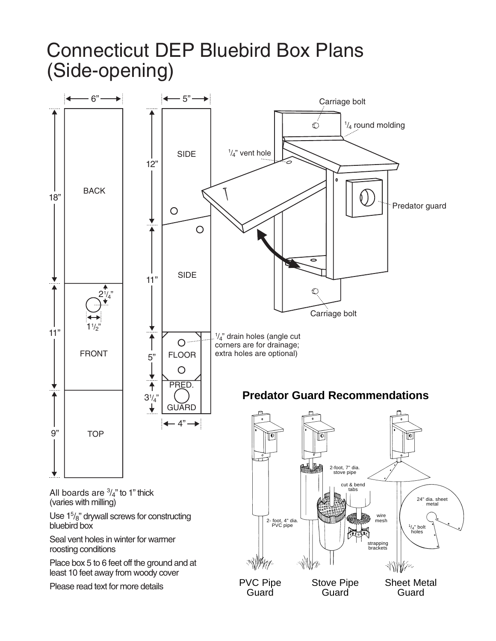# Connecticut DEP Bluebird Box Plans (Side-opening)

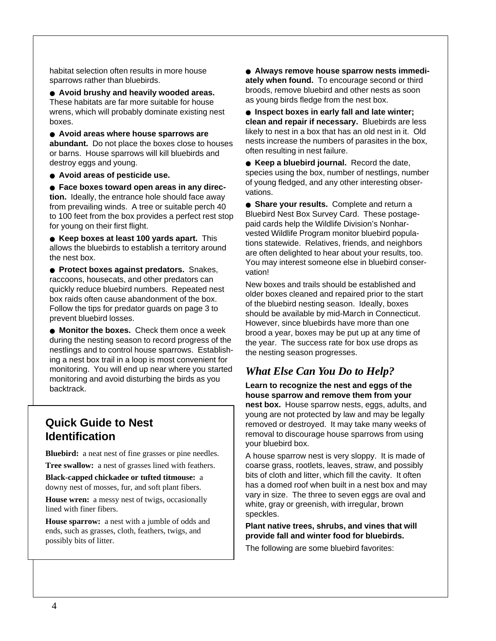habitat selection often results in more house sparrows rather than bluebirds.

● **Avoid brushy and heavily wooded areas.** These habitats are far more suitable for house wrens, which will probably dominate existing nest boxes.

● **Avoid areas where house sparrows are abundant.** Do not place the boxes close to houses or barns. House sparrows will kill bluebirds and destroy eggs and young.

● **Avoid areas of pesticide use.**

● **Face boxes toward open areas in any direction.** Ideally, the entrance hole should face away from prevailing winds. A tree or suitable perch 40 to 100 feet from the box provides a perfect rest stop for young on their first flight.

● **Keep boxes at least 100 yards apart.** This allows the bluebirds to establish a territory around the nest box.

● **Protect boxes against predators.** Snakes, raccoons, housecats, and other predators can quickly reduce bluebird numbers. Repeated nest box raids often cause abandonment of the box. Follow the tips for predator guards on page 3 to prevent bluebird losses.

● **Monitor the boxes.** Check them once a week during the nesting season to record progress of the nestlings and to control house sparrows. Establishing a nest box trail in a loop is most convenient for monitoring. You will end up near where you started monitoring and avoid disturbing the birds as you backtrack.

#### **Quick Guide to Nest Identification**

**Bluebird:** a neat nest of fine grasses or pine needles.

**Tree swallow:** a nest of grasses lined with feathers. **Black-capped chickadee or tufted titmouse:** a

downy nest of mosses, fur, and soft plant fibers.

**House wren:** a messy nest of twigs, occasionally lined with finer fibers.

**House sparrow:** a nest with a jumble of odds and ends, such as grasses, cloth, feathers, twigs, and possibly bits of litter.

● **Always remove house sparrow nests immediately when found.** To encourage second or third broods, remove bluebird and other nests as soon as young birds fledge from the nest box.

● **Inspect boxes in early fall and late winter; clean and repair if necessary.** Bluebirds are less likely to nest in a box that has an old nest in it. Old nests increase the numbers of parasites in the box, often resulting in nest failure.

● **Keep a bluebird journal.** Record the date, species using the box, number of nestlings, number of young fledged, and any other interesting observations.

● **Share your results.** Complete and return a Bluebird Nest Box Survey Card. These postagepaid cards help the Wildlife Division's Nonharvested Wildlife Program monitor bluebird populations statewide. Relatives, friends, and neighbors are often delighted to hear about your results, too. You may interest someone else in bluebird conservation!

New boxes and trails should be established and older boxes cleaned and repaired prior to the start of the bluebird nesting season. Ideally, boxes should be available by mid-March in Connecticut. However, since bluebirds have more than one brood a year, boxes may be put up at any time of the year. The success rate for box use drops as the nesting season progresses.

### *What Else Can You Do to Help?*

**Learn to recognize the nest and eggs of the house sparrow and remove them from your nest box.** House sparrow nests, eggs, adults, and young are not protected by law and may be legally removed or destroyed. It may take many weeks of removal to discourage house sparrows from using your bluebird box.

A house sparrow nest is very sloppy. It is made of coarse grass, rootlets, leaves, straw, and possibly bits of cloth and litter, which fill the cavity. It often has a domed roof when built in a nest box and may vary in size. The three to seven eggs are oval and white, gray or greenish, with irregular, brown speckles.

**Plant native trees, shrubs, and vines that will provide fall and winter food for bluebirds.**

The following are some bluebird favorites: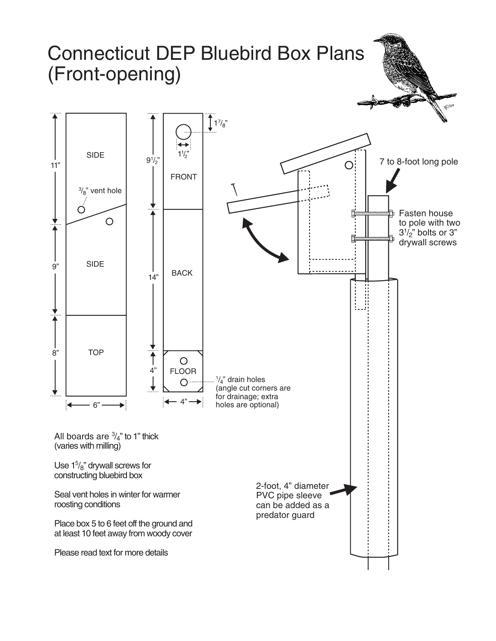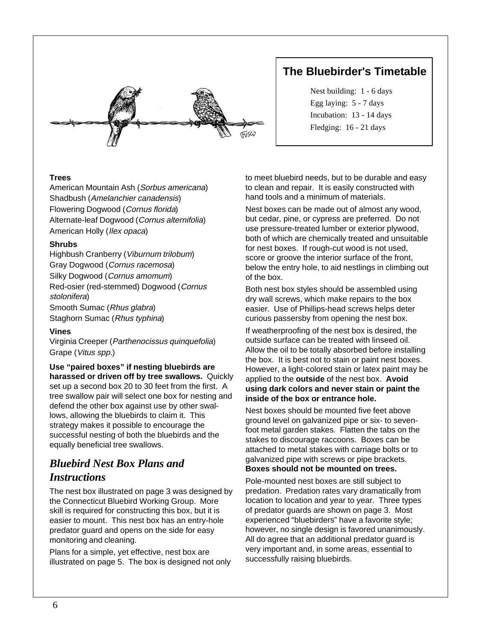

#### **The Bluebirder's Timetable**

Nest building: 1 - 6 days Egg laying: 5 - 7 days Incubation: 13 - 14 days Fledging: 16 - 21 days

#### **Trees**

American Mountain Ash (Sorbus americana) Shadbush (Amelanchier canadensis) Flowering Dogwood (Cornus florida) Alternate-leaf Dogwood (Cornus alternifolia) American Holly (Ilex opaca)

#### **Shrubs**

Highbush Cranberry (Viburnum trilobum) Gray Dogwood (Cornus racemosa) Silky Dogwood (Cornus amomum) Red-osier (red-stemmed) Dogwood (Cornus stolonifera) Smooth Sumac (Rhus glabra) Staghorn Sumac (Rhus typhina)

#### **Vines**

Virginia Creeper (Parthenocissus quinquefolia) Grape (Vitus spp.)

**Use "paired boxes" if nesting bluebirds are harassed or driven off by tree swallows.** Quickly set up a second box 20 to 30 feet from the first. A tree swallow pair will select one box for nesting and defend the other box against use by other swallows, allowing the bluebirds to claim it. This strategy makes it possible to encourage the successful nesting of both the bluebirds and the equally beneficial tree swallows.

#### *Bluebird Nest Box Plans and Instructions*

The nest box illustrated on page 3 was designed by the Connecticut Bluebird Working Group. More skill is required for constructing this box, but it is easier to mount. This nest box has an entry-hole predator guard and opens on the side for easy monitoring and cleaning.

Plans for a simple, yet effective, nest box are illustrated on page 5. The box is designed not only

to meet bluebird needs, but to be durable and easy to clean and repair. It is easily constructed with hand tools and a minimum of materials.

Nest boxes can be made out of almost any wood, but cedar, pine, or cypress are preferred. Do not use pressure-treated lumber or exterior plywood, both of which are chemically treated and unsuitable for nest boxes. If rough-cut wood is not used, score or groove the interior surface of the front, below the entry hole, to aid nestlings in climbing out of the box.

Both nest box styles should be assembled using dry wall screws, which make repairs to the box easier. Use of Phillips-head screws helps deter curious passersby from opening the nest box.

If weatherproofing of the nest box is desired, the outside surface can be treated with linseed oil. Allow the oil to be totally absorbed before installing the box. It is best not to stain or paint nest boxes. However, a light-colored stain or latex paint may be applied to the **outside** of the nest box. **Avoid using dark colors and never stain or paint the inside of the box or entrance hole.**

Nest boxes should be mounted five feet above ground level on galvanized pipe or six- to sevenfoot metal garden stakes. Flatten the tabs on the stakes to discourage raccoons. Boxes can be attached to metal stakes with carriage bolts or to galvanized pipe with screws or pipe brackets.

**Boxes should not be mounted on trees.**

Pole-mounted nest boxes are still subject to predation. Predation rates vary dramatically from location to location and year to year. Three types of predator guards are shown on page 3. Most experienced "bluebirders" have a favorite style; however, no single design is favored unanimously. All do agree that an additional predator guard is very important and, in some areas, essential to successfully raising bluebirds.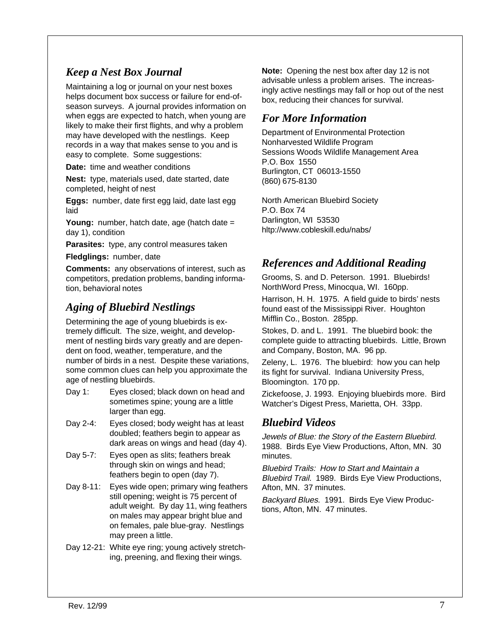#### *Keep a Nest Box Journal*

Maintaining a log or journal on your nest boxes helps document box success or failure for end-ofseason surveys. A journal provides information on when eggs are expected to hatch, when young are likely to make their first flights, and why a problem may have developed with the nestlings. Keep records in a way that makes sense to you and is easy to complete. Some suggestions:

**Date:** time and weather conditions

**Nest:** type, materials used, date started, date completed, height of nest

**Eggs:** number, date first egg laid, date last egg laid

**Young:** number, hatch date, age (hatch date = day 1), condition

**Parasites:** type, any control measures taken

**Fledglings:** number, date

**Comments:** any observations of interest, such as competitors, predation problems, banding information, behavioral notes

#### *Aging of Bluebird Nestlings*

Determining the age of young bluebirds is extremely difficult. The size, weight, and development of nestling birds vary greatly and are dependent on food, weather, temperature, and the number of birds in a nest. Despite these variations, some common clues can help you approximate the age of nestling bluebirds.

- Day 1: Eyes closed; black down on head and sometimes spine; young are a little larger than egg.
- Day 2-4: Eyes closed; body weight has at least doubled; feathers begin to appear as dark areas on wings and head (day 4).
- Day 5-7: Eyes open as slits; feathers break through skin on wings and head; feathers begin to open (day 7).
- Day 8-11: Eyes wide open; primary wing feathers still opening; weight is 75 percent of adult weight. By day 11, wing feathers on males may appear bright blue and on females, pale blue-gray. Nestlings may preen a little.
- Day 12-21: White eye ring; young actively stretching, preening, and flexing their wings.

**Note:** Opening the nest box after day 12 is not advisable unless a problem arises. The increasingly active nestlings may fall or hop out of the nest box, reducing their chances for survival.

#### *For More Information*

Department of Environmental Protection Nonharvested Wildlife Program Sessions Woods Wildlife Management Area P.O. Box 1550 Burlington, CT 06013-1550 (860) 675-8130

North American Bluebird Society P.O. Box 74 Darlington, WI 53530 hltp://www.cobleskill.edu/nabs/

#### *References and Additional Reading*

Grooms, S. and D. Peterson. 1991. Bluebirds! NorthWord Press, Minocqua, WI. 160pp.

Harrison, H. H. 1975. A field guide to birds' nests found east of the Mississippi River. Houghton Mifflin Co., Boston. 285pp.

Stokes, D. and L. 1991. The bluebird book: the complete guide to attracting bluebirds. Little, Brown and Company, Boston, MA. 96 pp.

Zeleny, L. 1976. The bluebird: how you can help its fight for survival. Indiana University Press, Bloomington. 170 pp.

Zickefoose, J. 1993. Enjoying bluebirds more. Bird Watcher's Digest Press, Marietta, OH. 33pp.

#### *Bluebird Videos*

Jewels of Blue: the Story of the Eastern Bluebird. 1988. Birds Eye View Productions, Afton, MN. 30 minutes.

Bluebird Trails: How to Start and Maintain a Bluebird Trail. 1989. Birds Eye View Productions, Afton, MN. 37 minutes.

Backyard Blues. 1991. Birds Eye View Productions, Afton, MN. 47 minutes.